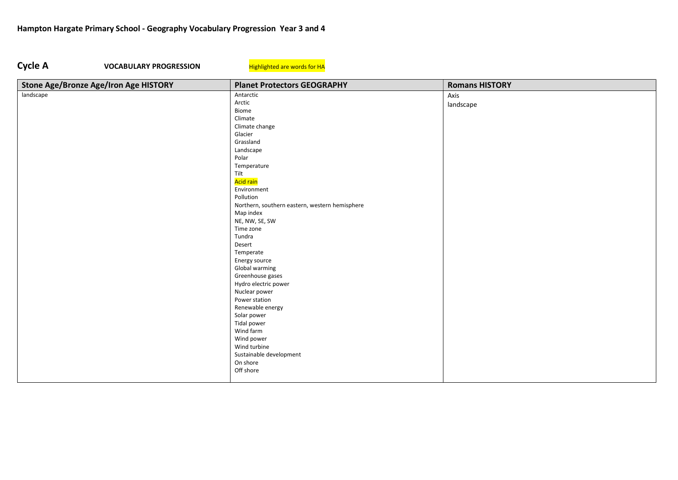## Cycle A VOCABULARY PROGRESSION Highlighted are words for HA

| Stone Age/Bronze Age/Iron Age HISTORY | <b>Planet Protectors GEOGRAPHY</b>             | <b>Romans HISTORY</b> |
|---------------------------------------|------------------------------------------------|-----------------------|
| landscape                             | Antarctic                                      | Axis                  |
|                                       | Arctic                                         | landscape             |
|                                       | Biome                                          |                       |
|                                       | Climate                                        |                       |
|                                       | Climate change                                 |                       |
|                                       | Glacier                                        |                       |
|                                       | Grassland                                      |                       |
|                                       | Landscape                                      |                       |
|                                       | Polar                                          |                       |
|                                       | Temperature                                    |                       |
|                                       | Tilt                                           |                       |
|                                       | Acid rain                                      |                       |
|                                       | Environment                                    |                       |
|                                       | Pollution                                      |                       |
|                                       | Northern, southern eastern, western hemisphere |                       |
|                                       | Map index                                      |                       |
|                                       | NE, NW, SE, SW                                 |                       |
|                                       | Time zone                                      |                       |
|                                       | Tundra                                         |                       |
|                                       | Desert                                         |                       |
|                                       | Temperate                                      |                       |
|                                       | Energy source                                  |                       |
|                                       | Global warming                                 |                       |
|                                       | Greenhouse gases                               |                       |
|                                       | Hydro electric power                           |                       |
|                                       | Nuclear power                                  |                       |
|                                       | Power station                                  |                       |
|                                       | Renewable energy                               |                       |
|                                       | Solar power                                    |                       |
|                                       | <b>Tidal power</b>                             |                       |
|                                       | Wind farm                                      |                       |
|                                       | Wind power                                     |                       |
|                                       | Wind turbine                                   |                       |
|                                       | Sustainable development                        |                       |
|                                       | On shore                                       |                       |
|                                       | Off shore                                      |                       |
|                                       |                                                |                       |